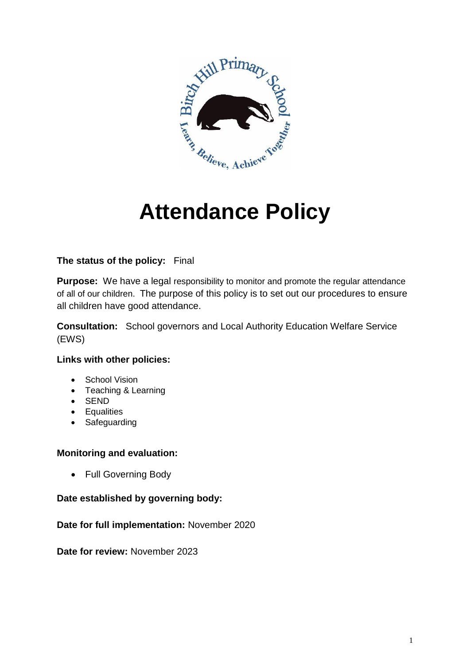

# **Attendance Policy**

# **The status of the policy:** Final

**Purpose:** We have a legal responsibility to monitor and promote the regular attendance of all of our children. The purpose of this policy is to set out our procedures to ensure all children have good attendance.

**Consultation:** School governors and Local Authority Education Welfare Service (EWS)

# **Links with other policies:**

- School Vision
- Teaching & Learning
- SEND
- **•** Equalities
- Safeguarding

# **Monitoring and evaluation:**

• Full Governing Body

# **Date established by governing body:**

# **Date for full implementation:** November 2020

**Date for review:** November 2023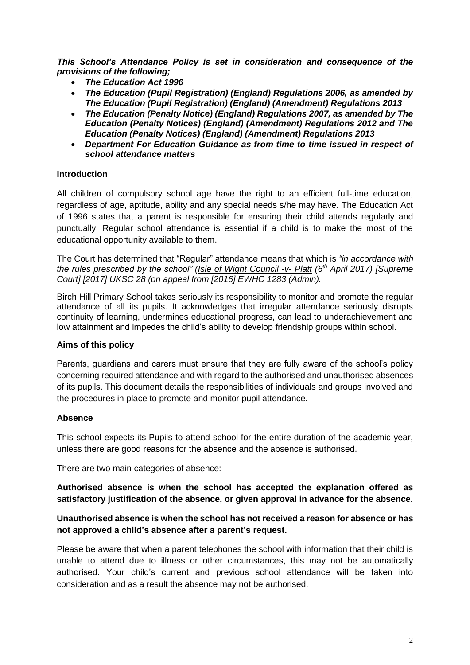*This School's Attendance Policy is set in consideration and consequence of the provisions of the following;*

- *The Education Act 1996*
- *The Education (Pupil Registration) (England) Regulations 2006, as amended by The Education (Pupil Registration) (England) (Amendment) Regulations 2013*
- *The Education (Penalty Notice) (England) Regulations 2007, as amended by The Education (Penalty Notices) (England) (Amendment) Regulations 2012 and The Education (Penalty Notices) (England) (Amendment) Regulations 2013*
- *Department For Education Guidance as from time to time issued in respect of school attendance matters*

#### **Introduction**

All children of compulsory school age have the right to an efficient full-time education, regardless of age, aptitude, ability and any special needs s/he may have. The Education Act of 1996 states that a parent is responsible for ensuring their child attends regularly and punctually. Regular school attendance is essential if a child is to make the most of the educational opportunity available to them.

The Court has determined that "Regular" attendance means that which is *"in accordance with the rules prescribed by the school" (Isle of Wight Council -v- Platt (6th April 2017) [Supreme Court] [2017] UKSC 28 (on appeal from [2016] EWHC 1283 (Admin).* 

Birch Hill Primary School takes seriously its responsibility to monitor and promote the regular attendance of all its pupils. It acknowledges that irregular attendance seriously disrupts continuity of learning, undermines educational progress, can lead to underachievement and low attainment and impedes the child's ability to develop friendship groups within school.

#### **Aims of this policy**

Parents, guardians and carers must ensure that they are fully aware of the school's policy concerning required attendance and with regard to the authorised and unauthorised absences of its pupils. This document details the responsibilities of individuals and groups involved and the procedures in place to promote and monitor pupil attendance.

#### **Absence**

This school expects its Pupils to attend school for the entire duration of the academic year, unless there are good reasons for the absence and the absence is authorised.

There are two main categories of absence:

**Authorised absence is when the school has accepted the explanation offered as satisfactory justification of the absence, or given approval in advance for the absence.**

# **Unauthorised absence is when the school has not received a reason for absence or has not approved a child's absence after a parent's request.**

Please be aware that when a parent telephones the school with information that their child is unable to attend due to illness or other circumstances, this may not be automatically authorised. Your child's current and previous school attendance will be taken into consideration and as a result the absence may not be authorised.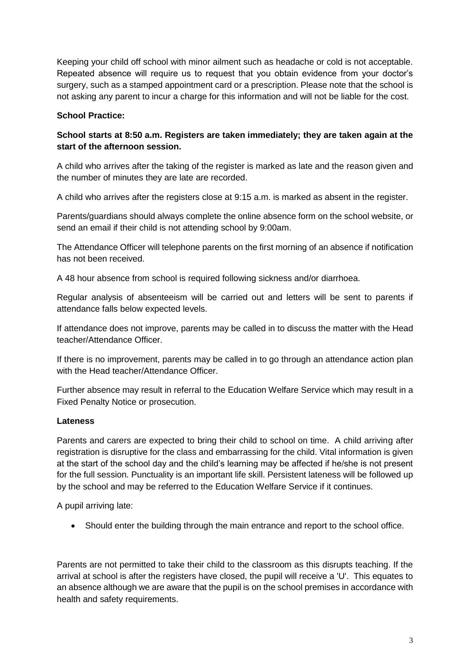Keeping your child off school with minor ailment such as headache or cold is not acceptable. Repeated absence will require us to request that you obtain evidence from your doctor's surgery, such as a stamped appointment card or a prescription. Please note that the school is not asking any parent to incur a charge for this information and will not be liable for the cost.

# **School Practice:**

# **School starts at 8:50 a.m. Registers are taken immediately; they are taken again at the start of the afternoon session.**

A child who arrives after the taking of the register is marked as late and the reason given and the number of minutes they are late are recorded.

A child who arrives after the registers close at 9:15 a.m. is marked as absent in the register.

Parents/guardians should always complete the online absence form on the school website, or send an email if their child is not attending school by 9:00am.

The Attendance Officer will telephone parents on the first morning of an absence if notification has not been received.

A 48 hour absence from school is required following sickness and/or diarrhoea.

Regular analysis of absenteeism will be carried out and letters will be sent to parents if attendance falls below expected levels.

If attendance does not improve, parents may be called in to discuss the matter with the Head teacher/Attendance Officer.

If there is no improvement, parents may be called in to go through an attendance action plan with the Head teacher/Attendance Officer

Further absence may result in referral to the Education Welfare Service which may result in a Fixed Penalty Notice or prosecution.

# **Lateness**

Parents and carers are expected to bring their child to school on time. A child arriving after registration is disruptive for the class and embarrassing for the child. Vital information is given at the start of the school day and the child's learning may be affected if he/she is not present for the full session. Punctuality is an important life skill. Persistent lateness will be followed up by the school and may be referred to the Education Welfare Service if it continues.

A pupil arriving late:

Should enter the building through the main entrance and report to the school office.

Parents are not permitted to take their child to the classroom as this disrupts teaching. If the arrival at school is after the registers have closed, the pupil will receive a 'U'. This equates to an absence although we are aware that the pupil is on the school premises in accordance with health and safety requirements.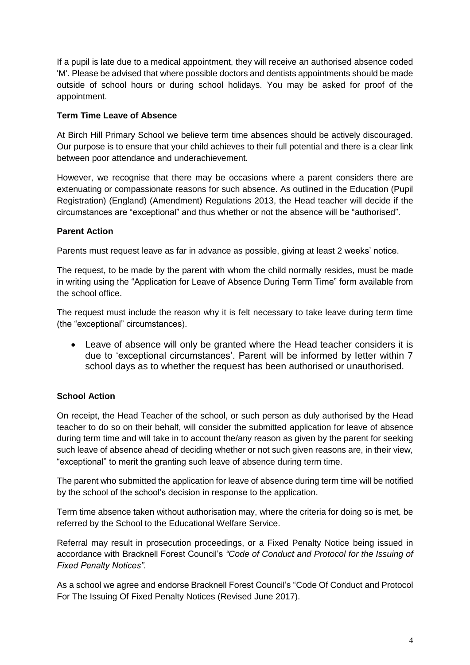If a pupil is late due to a medical appointment, they will receive an authorised absence coded 'M'. Please be advised that where possible doctors and dentists appointments should be made outside of school hours or during school holidays. You may be asked for proof of the appointment.

### **Term Time Leave of Absence**

At Birch Hill Primary School we believe term time absences should be actively discouraged. Our purpose is to ensure that your child achieves to their full potential and there is a clear link between poor attendance and underachievement.

However, we recognise that there may be occasions where a parent considers there are extenuating or compassionate reasons for such absence. As outlined in the Education (Pupil Registration) (England) (Amendment) Regulations 2013, the Head teacher will decide if the circumstances are "exceptional" and thus whether or not the absence will be "authorised".

# **Parent Action**

Parents must request leave as far in advance as possible, giving at least 2 weeks' notice.

The request, to be made by the parent with whom the child normally resides, must be made in writing using the "Application for Leave of Absence During Term Time" form available from the school office.

The request must include the reason why it is felt necessary to take leave during term time (the "exceptional" circumstances).

 Leave of absence will only be granted where the Head teacher considers it is due to 'exceptional circumstances'. Parent will be informed by letter within 7 school days as to whether the request has been authorised or unauthorised.

# **School Action**

On receipt, the Head Teacher of the school, or such person as duly authorised by the Head teacher to do so on their behalf, will consider the submitted application for leave of absence during term time and will take in to account the/any reason as given by the parent for seeking such leave of absence ahead of deciding whether or not such given reasons are, in their view, "exceptional" to merit the granting such leave of absence during term time.

The parent who submitted the application for leave of absence during term time will be notified by the school of the school's decision in response to the application.

Term time absence taken without authorisation may, where the criteria for doing so is met, be referred by the School to the Educational Welfare Service.

Referral may result in prosecution proceedings, or a Fixed Penalty Notice being issued in accordance with Bracknell Forest Council's *"Code of Conduct and Protocol for the Issuing of Fixed Penalty Notices".*

As a school we agree and endorse Bracknell Forest Council's "Code Of Conduct and Protocol For The Issuing Of Fixed Penalty Notices (Revised June 2017).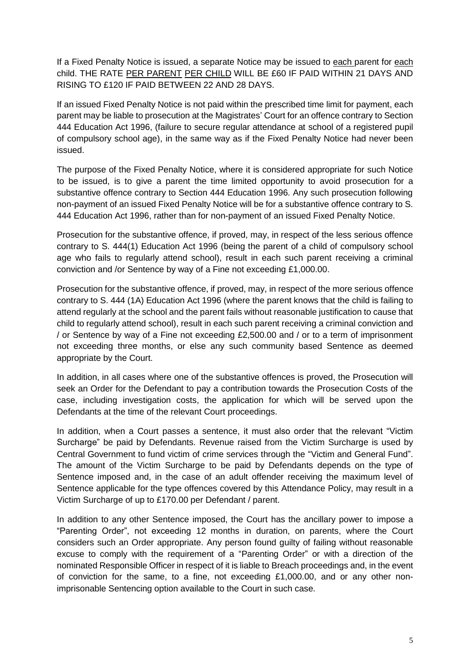If a Fixed Penalty Notice is issued, a separate Notice may be issued to each parent for each child. THE RATE PER PARENT PER CHILD WILL BE £60 IF PAID WITHIN 21 DAYS AND RISING TO £120 IF PAID BETWEEN 22 AND 28 DAYS.

If an issued Fixed Penalty Notice is not paid within the prescribed time limit for payment, each parent may be liable to prosecution at the Magistrates' Court for an offence contrary to Section 444 Education Act 1996, (failure to secure regular attendance at school of a registered pupil of compulsory school age), in the same way as if the Fixed Penalty Notice had never been issued.

The purpose of the Fixed Penalty Notice, where it is considered appropriate for such Notice to be issued, is to give a parent the time limited opportunity to avoid prosecution for a substantive offence contrary to Section 444 Education 1996. Any such prosecution following non-payment of an issued Fixed Penalty Notice will be for a substantive offence contrary to S. 444 Education Act 1996, rather than for non-payment of an issued Fixed Penalty Notice.

Prosecution for the substantive offence, if proved, may, in respect of the less serious offence contrary to S. 444(1) Education Act 1996 (being the parent of a child of compulsory school age who fails to regularly attend school), result in each such parent receiving a criminal conviction and /or Sentence by way of a Fine not exceeding £1,000.00.

Prosecution for the substantive offence, if proved, may, in respect of the more serious offence contrary to S. 444 (1A) Education Act 1996 (where the parent knows that the child is failing to attend regularly at the school and the parent fails without reasonable justification to cause that child to regularly attend school), result in each such parent receiving a criminal conviction and / or Sentence by way of a Fine not exceeding £2,500.00 and / or to a term of imprisonment not exceeding three months, or else any such community based Sentence as deemed appropriate by the Court.

In addition, in all cases where one of the substantive offences is proved, the Prosecution will seek an Order for the Defendant to pay a contribution towards the Prosecution Costs of the case, including investigation costs, the application for which will be served upon the Defendants at the time of the relevant Court proceedings.

In addition, when a Court passes a sentence, it must also order that the relevant "Victim Surcharge" be paid by Defendants. Revenue raised from the Victim Surcharge is used by Central Government to fund victim of crime services through the "Victim and General Fund". The amount of the Victim Surcharge to be paid by Defendants depends on the type of Sentence imposed and, in the case of an adult offender receiving the maximum level of Sentence applicable for the type offences covered by this Attendance Policy, may result in a Victim Surcharge of up to £170.00 per Defendant / parent.

In addition to any other Sentence imposed, the Court has the ancillary power to impose a "Parenting Order", not exceeding 12 months in duration, on parents, where the Court considers such an Order appropriate. Any person found guilty of failing without reasonable excuse to comply with the requirement of a "Parenting Order" or with a direction of the nominated Responsible Officer in respect of it is liable to Breach proceedings and, in the event of conviction for the same, to a fine, not exceeding £1,000.00, and or any other nonimprisonable Sentencing option available to the Court in such case.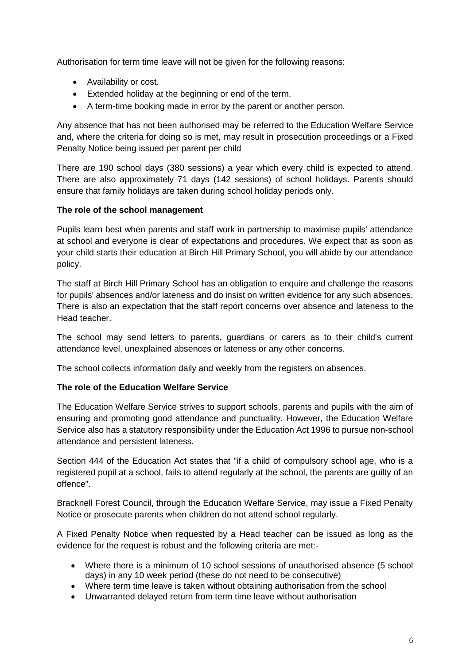Authorisation for term time leave will not be given for the following reasons:

- Availability or cost.
- Extended holiday at the beginning or end of the term.
- A term-time booking made in error by the parent or another person.

Any absence that has not been authorised may be referred to the Education Welfare Service and, where the criteria for doing so is met, may result in prosecution proceedings or a Fixed Penalty Notice being issued per parent per child

There are 190 school days (380 sessions) a year which every child is expected to attend. There are also approximately 71 days (142 sessions) of school holidays. Parents should ensure that family holidays are taken during school holiday periods only.

# **The role of the school management**

Pupils learn best when parents and staff work in partnership to maximise pupils' attendance at school and everyone is clear of expectations and procedures. We expect that as soon as your child starts their education at Birch Hill Primary School, you will abide by our attendance policy.

The staff at Birch Hill Primary School has an obligation to enquire and challenge the reasons for pupils' absences and/or lateness and do insist on written evidence for any such absences. There is also an expectation that the staff report concerns over absence and lateness to the Head teacher.

The school may send letters to parents, guardians or carers as to their child's current attendance level, unexplained absences or lateness or any other concerns.

The school collects information daily and weekly from the registers on absences.

# **The role of the Education Welfare Service**

The Education Welfare Service strives to support schools, parents and pupils with the aim of ensuring and promoting good attendance and punctuality. However, the Education Welfare Service also has a statutory responsibility under the Education Act 1996 to pursue non-school attendance and persistent lateness.

Section 444 of the Education Act states that "if a child of compulsory school age, who is a registered pupil at a school, fails to attend regularly at the school, the parents are guilty of an offence".

Bracknell Forest Council, through the Education Welfare Service, may issue a Fixed Penalty Notice or prosecute parents when children do not attend school regularly.

A Fixed Penalty Notice when requested by a Head teacher can be issued as long as the evidence for the request is robust and the following criteria are met:-

- Where there is a minimum of 10 school sessions of unauthorised absence (5 school days) in any 10 week period (these do not need to be consecutive)
- Where term time leave is taken without obtaining authorisation from the school
- Unwarranted delayed return from term time leave without authorisation